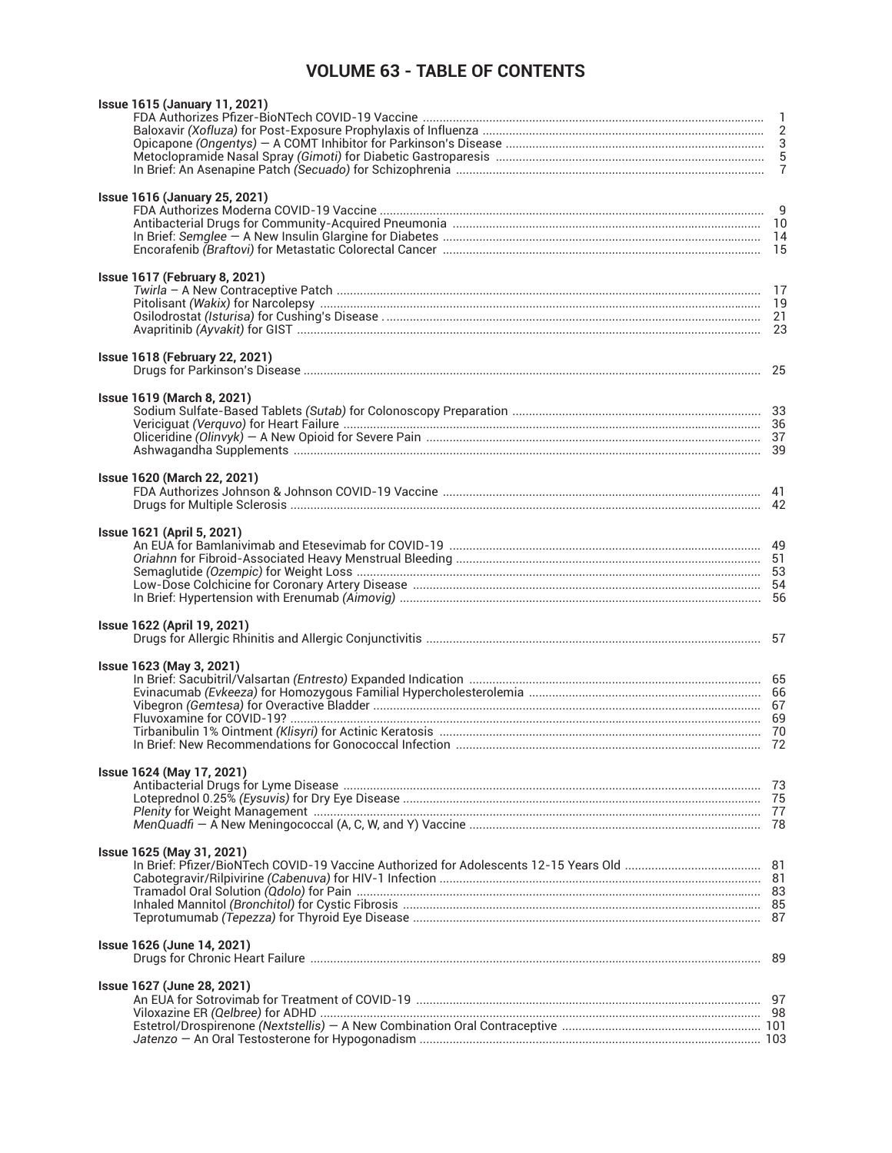## **VOLUME 63 - TABLE OF CONTENTS**

| <b>Issue 1615 (January 11, 2021)</b>                                                                           |  |
|----------------------------------------------------------------------------------------------------------------|--|
|                                                                                                                |  |
|                                                                                                                |  |
|                                                                                                                |  |
|                                                                                                                |  |
|                                                                                                                |  |
| <b>Issue 1616 (January 25, 2021)</b>                                                                           |  |
|                                                                                                                |  |
|                                                                                                                |  |
|                                                                                                                |  |
|                                                                                                                |  |
|                                                                                                                |  |
| <b>Issue 1617 (February 8, 2021)</b>                                                                           |  |
|                                                                                                                |  |
|                                                                                                                |  |
|                                                                                                                |  |
|                                                                                                                |  |
| <b>Issue 1618 (February 22, 2021)</b>                                                                          |  |
|                                                                                                                |  |
|                                                                                                                |  |
| <b>Issue 1619 (March 8, 2021)</b>                                                                              |  |
|                                                                                                                |  |
|                                                                                                                |  |
|                                                                                                                |  |
|                                                                                                                |  |
| <b>Issue 1620 (March 22, 2021)</b>                                                                             |  |
|                                                                                                                |  |
|                                                                                                                |  |
|                                                                                                                |  |
| <b>Issue 1621 (April 5, 2021)</b>                                                                              |  |
|                                                                                                                |  |
|                                                                                                                |  |
|                                                                                                                |  |
|                                                                                                                |  |
|                                                                                                                |  |
| <b>Issue 1622 (April 19, 2021)</b>                                                                             |  |
|                                                                                                                |  |
|                                                                                                                |  |
| <b>Issue 1623 (May 3, 2021)</b>                                                                                |  |
|                                                                                                                |  |
|                                                                                                                |  |
|                                                                                                                |  |
|                                                                                                                |  |
|                                                                                                                |  |
|                                                                                                                |  |
| Issue 1624 (May 17, 2021)                                                                                      |  |
|                                                                                                                |  |
|                                                                                                                |  |
| Plenity for Weight Management manufactured and all the content of the manufacture of the manufacture of the co |  |
|                                                                                                                |  |
| Issue 1625 (May 31, 2021)                                                                                      |  |
|                                                                                                                |  |
|                                                                                                                |  |
|                                                                                                                |  |
|                                                                                                                |  |
|                                                                                                                |  |
|                                                                                                                |  |
| Issue 1626 (June 14, 2021)                                                                                     |  |
|                                                                                                                |  |
| <b>Issue 1627 (June 28, 2021)</b>                                                                              |  |
|                                                                                                                |  |
|                                                                                                                |  |
|                                                                                                                |  |
|                                                                                                                |  |